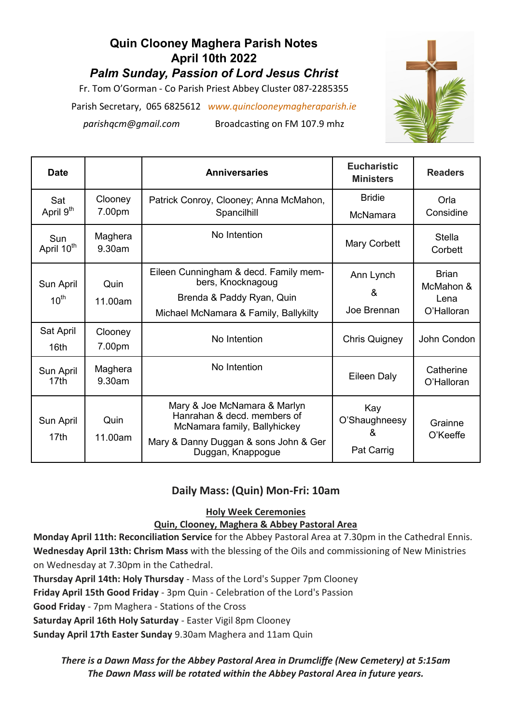# **Quin Clooney Maghera Parish Notes April 10th 2022** *Palm Sunday, Passion of Lord Jesus Christ*  Fr. Tom O'Gorman - Co Parish Priest Abbey Cluster 087-2285355

Parish Secretary, 065 6825612 *www.quinclooneymagheraparish.ie* 

*parishqcm@gmail.com* Broadcasting on FM 107.9 mhz



| <b>Date</b>                   |                   | <b>Anniversaries</b>                                                                                                                                      | <b>Eucharistic</b><br><b>Ministers</b>  | <b>Readers</b>                                  |
|-------------------------------|-------------------|-----------------------------------------------------------------------------------------------------------------------------------------------------------|-----------------------------------------|-------------------------------------------------|
| Sat<br>April 9 <sup>th</sup>  | Clooney<br>7.00pm | Patrick Conroy, Clooney; Anna McMahon,<br>Spancilhill                                                                                                     | <b>Bridie</b><br>McNamara               | Orla<br>Considine                               |
| Sun<br>April 10 <sup>th</sup> | Maghera<br>9.30am | No Intention                                                                                                                                              | Mary Corbett                            | <b>Stella</b><br>Corbett                        |
| Sun April<br>$10^{\text{th}}$ | Quin<br>11.00am   | Eileen Cunningham & decd. Family mem-<br>bers, Knocknagoug<br>Brenda & Paddy Ryan, Quin<br>Michael McNamara & Family, Ballykilty                          | Ann Lynch<br>&<br>Joe Brennan           | <b>Brian</b><br>McMahon &<br>Lena<br>O'Halloran |
| Sat April<br>16 <sub>th</sub> | Clooney<br>7.00pm | No Intention                                                                                                                                              | <b>Chris Quigney</b>                    | John Condon                                     |
| Sun April<br>17 <sub>th</sub> | Maghera<br>9.30am | No Intention                                                                                                                                              | Eileen Daly                             | Catherine<br>O'Halloran                         |
| Sun April<br>17th             | Quin<br>11.00am   | Mary & Joe McNamara & Marlyn<br>Hanrahan & decd, members of<br>McNamara family, Ballyhickey<br>Mary & Danny Duggan & sons John & Ger<br>Duggan, Knappogue | Kay<br>O'Shaughneesy<br>&<br>Pat Carrig | Grainne<br>O'Keeffe                             |

## **Daily Mass: (Quin) Mon-Fri: 10am**

### **Holy Week Ceremonies**

### **Quin, Clooney, Maghera & Abbey Pastoral Area**

**Monday April 11th: Reconciliation Service** for the Abbey Pastoral Area at 7.30pm in the Cathedral Ennis. **Wednesday April 13th: Chrism Mass** with the blessing of the Oils and commissioning of New Ministries on Wednesday at 7.30pm in the Cathedral.

**Thursday April 14th: Holy Thursday** - Mass of the Lord's Supper 7pm Clooney

**Friday April 15th Good Friday** - 3pm Quin - Celebration of the Lord's Passion

**Good Friday** - 7pm Maghera - Stations of the Cross

**Saturday April 16th Holy Saturday** - Easter Vigil 8pm Clooney

**Sunday April 17th Easter Sunday** 9.30am Maghera and 11am Quin

*There is a Dawn Mass for the Abbey Pastoral Area in Drumcliffe (New Cemetery) at 5:15am The Dawn Mass will be rotated within the Abbey Pastoral Area in future years.*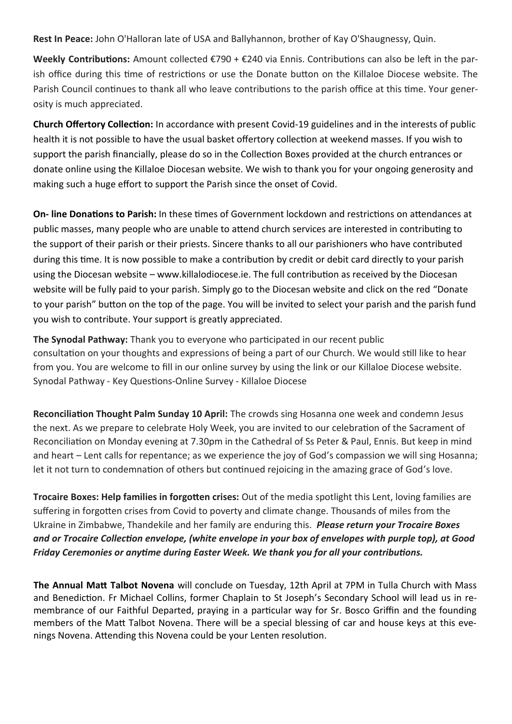**Rest In Peace:** John O'Halloran late of USA and Ballyhannon, brother of Kay O'Shaugnessy, Quin.

**Weekly Contributions:** Amount collected €790 + €240 via Ennis. Contributions can also be left in the parish office during this time of restrictions or use the Donate button on the Killaloe Diocese website. The Parish Council continues to thank all who leave contributions to the parish office at this time. Your generosity is much appreciated.

**Church Offertory Collection:** In accordance with present Covid-19 guidelines and in the interests of public health it is not possible to have the usual basket offertory collection at weekend masses. If you wish to support the parish financially, please do so in the Collection Boxes provided at the church entrances or donate online using the Killaloe Diocesan website. We wish to thank you for your ongoing generosity and making such a huge effort to support the Parish since the onset of Covid.

**On- line Donations to Parish:** In these times of Government lockdown and restrictions on attendances at public masses, many people who are unable to attend church services are interested in contributing to the support of their parish or their priests. Sincere thanks to all our parishioners who have contributed during this time. It is now possible to make a contribution by credit or debit card directly to your parish using the Diocesan website – www.killalodiocese.ie. The full contribution as received by the Diocesan website will be fully paid to your parish. Simply go to the Diocesan website and click on the red "Donate to your parish" button on the top of the page. You will be invited to select your parish and the parish fund you wish to contribute. Your support is greatly appreciated.

**The Synodal Pathway:** Thank you to everyone who participated in our recent public consultation on your thoughts and expressions of being a part of our Church. We would still like to hear from you. You are welcome to fill in our online survey by using the link or our Killaloe Diocese website. Synodal Pathway - Key Questions-Online Survey - Killaloe Diocese

**Reconciliation Thought Palm Sunday 10 April:** The crowds sing Hosanna one week and condemn Jesus the next. As we prepare to celebrate Holy Week, you are invited to our celebration of the Sacrament of Reconciliation on Monday evening at 7.30pm in the Cathedral of Ss Peter & Paul, Ennis. But keep in mind and heart – Lent calls for repentance; as we experience the joy of God's compassion we will sing Hosanna; let it not turn to condemnation of others but continued rejoicing in the amazing grace of God's love.

**Trocaire Boxes: Help families in forgotten crises:** Out of the media spotlight this Lent, loving families are suffering in forgotten crises from Covid to poverty and climate change. Thousands of miles from the Ukraine in Zimbabwe, Thandekile and her family are enduring this. *Please return your Trocaire Boxes and or Trocaire Collection envelope, (white envelope in your box of envelopes with purple top), at Good Friday Ceremonies or anytime during Easter Week. We thank you for all your contributions.*

**The Annual Matt Talbot Novena** will conclude on Tuesday, 12th April at 7PM in Tulla Church with Mass and Benediction. Fr Michael Collins, former Chaplain to St Joseph's Secondary School will lead us in remembrance of our Faithful Departed, praying in a particular way for Sr. Bosco Griffin and the founding members of the Matt Talbot Novena. There will be a special blessing of car and house keys at this evenings Novena. Attending this Novena could be your Lenten resolution.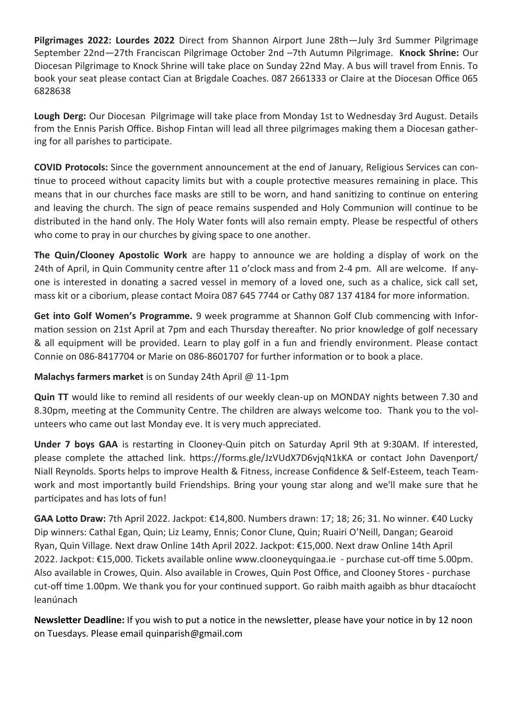**Pilgrimages 2022: Lourdes 2022** Direct from Shannon Airport June 28th—July 3rd Summer Pilgrimage September 22nd—27th Franciscan Pilgrimage October 2nd –7th Autumn Pilgrimage. **Knock Shrine:** Our Diocesan Pilgrimage to Knock Shrine will take place on Sunday 22nd May. A bus will travel from Ennis. To book your seat please contact Cian at Brigdale Coaches. 087 2661333 or Claire at the Diocesan Office 065 6828638

**Lough Derg:** Our Diocesan Pilgrimage will take place from Monday 1st to Wednesday 3rd August. Details from the Ennis Parish Office. Bishop Fintan will lead all three pilgrimages making them a Diocesan gathering for all parishes to participate.

**COVID Protocols:** Since the government announcement at the end of January, Religious Services can continue to proceed without capacity limits but with a couple protective measures remaining in place. This means that in our churches face masks are still to be worn, and hand sanitizing to continue on entering and leaving the church. The sign of peace remains suspended and Holy Communion will continue to be distributed in the hand only. The Holy Water fonts will also remain empty. Please be respectful of others who come to pray in our churches by giving space to one another.

**The Quin/Clooney Apostolic Work** are happy to announce we are holding a display of work on the 24th of April, in Quin Community centre after 11 o'clock mass and from 2-4 pm. All are welcome. If anyone is interested in donating a sacred vessel in memory of a loved one, such as a chalice, sick call set, mass kit or a ciborium, please contact Moira 087 645 7744 or Cathy 087 137 4184 for more information.

**Get into Golf Women's Programme.** 9 week programme at Shannon Golf Club commencing with Information session on 21st April at 7pm and each Thursday thereafter. No prior knowledge of golf necessary & all equipment will be provided. Learn to play golf in a fun and friendly environment. Please contact Connie on 086-8417704 or Marie on 086-8601707 for further information or to book a place.

**Malachys farmers market** is on Sunday 24th April @ 11-1pm

**Quin TT** would like to remind all residents of our weekly clean-up on MONDAY nights between 7.30 and 8.30pm, meeting at the Community Centre. The children are always welcome too. Thank you to the volunteers who came out last Monday eve. It is very much appreciated.

**Under 7 boys GAA** is restarting in Clooney-Quin pitch on Saturday April 9th at 9:30AM. If interested, please complete the attached link. https://forms.gle/JzVUdX7D6vjqN1kKA or contact John Davenport/ Niall Reynolds. Sports helps to improve Health & Fitness, increase Confidence & Self-Esteem, teach Teamwork and most importantly build Friendships. Bring your young star along and we'll make sure that he participates and has lots of fun!

**GAA Lotto Draw:** 7th April 2022. Jackpot: €14,800. Numbers drawn: 17; 18; 26; 31. No winner. €40 Lucky Dip winners: Cathal Egan, Quin; Liz Leamy, Ennis; Conor Clune, Quin; Ruairi O'Neill, Dangan; Gearoid Ryan, Quin Village. Next draw Online 14th April 2022. Jackpot: €15,000. Next draw Online 14th April 2022. Jackpot: €15,000. Tickets available online www.clooneyquingaa.ie - purchase cut-off time 5.00pm. Also available in Crowes, Quin. Also available in Crowes, Quin Post Office, and Clooney Stores - purchase cut-off time 1.00pm. We thank you for your continued support. Go raibh maith agaibh as bhur dtacaíocht leanúnach

**Newsletter Deadline:** If you wish to put a notice in the newsletter, please have your notice in by 12 noon on Tuesdays. Please email quinparish@gmail.com